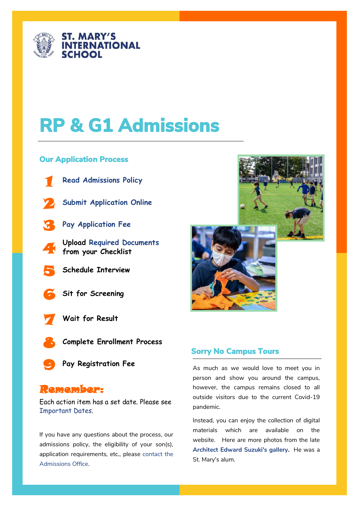

# **RP & G1 Admissions**

### **Our Application Process**



**[Read Admissions Policy](https://www.smis.ac.jp/admissions/admissions-policy)**



- **[Submit Application Online](https://smis.openapply.com/)**
- 
- 3 **[Pay Application Fee](https://secure.smis.ac.jp/Apply)**
- **de Upload Required Do**<br>from your Checklist **Upload [Required Documents](https://www.smis.ac.jp/admissions/application-requirements)**
- 5 **Schedule Interview**
- 6 **Sit for Screening**



7 **Wait for Result**



**Complete Enrollment Process**



**Pay Registration Fee**

# Remember:

Each action item has a set date. Please see [Important Dates.](https://www.smis.ac.jp/admissions/rp-gr1-admissions)

If you have any questions about the process, our admissions policy, the eligibility of your son(s), application requirements, etc., please [contact the](https://smis.openapply.com/roi)  [Admissions Office.](https://smis.openapply.com/roi)



# **Sorry No Campus Tours**

As much as we would love to meet you in person and show you around the campus, however, the campus remains closed to all outside visitors due to the current Covid-19 pandemic.

Instead, you can enjoy the collection of digital materials which are available on the website. Here are more photos from the late **[Architect Edward Suzuki's gallery.](https://archello.com/story/11768/attachments/photos-videos)** He was a St. Mary's alum.